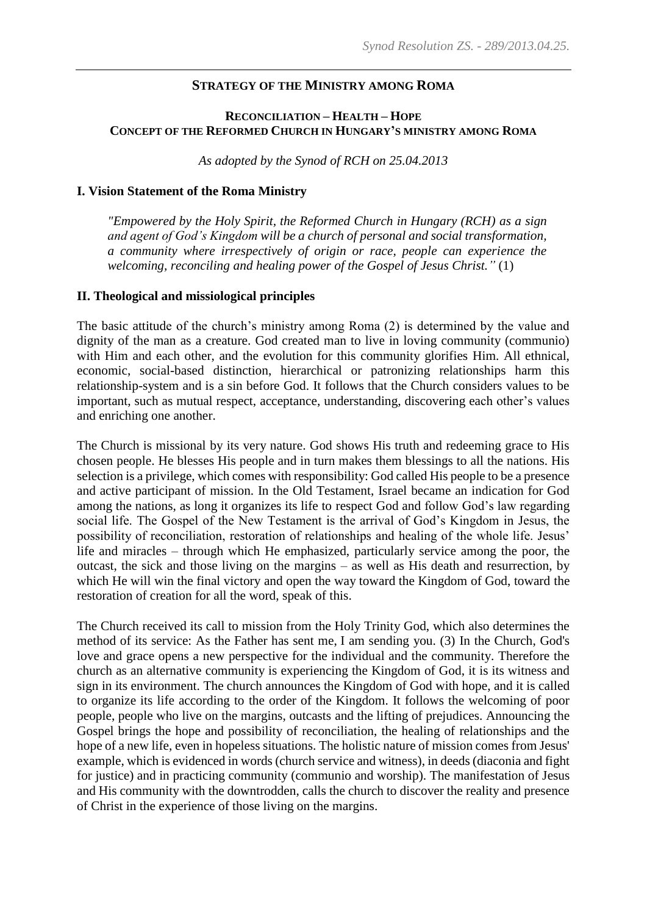### **STRATEGY OF THE MINISTRY AMONG ROMA**

### **RECONCILIATION – HEALTH – HOPE CONCEPT OF THE REFORMED CHURCH IN HUNGARY'S MINISTRY AMONG ROMA**

*As adopted by the Synod of RCH on 25.04.2013*

#### **I. Vision Statement of the Roma Ministry**

*"Empowered by the Holy Spirit, the Reformed Church in Hungary (RCH) as a sign and agent of God's Kingdom will be a church of personal and social transformation, a community where irrespectively of origin or race, people can experience the welcoming, reconciling and healing power of the Gospel of Jesus Christ."* (1)

#### **II. Theological and missiological principles**

The basic attitude of the church's ministry among Roma (2) is determined by the value and dignity of the man as a creature. God created man to live in loving community (communio) with Him and each other, and the evolution for this community glorifies Him. All ethnical, economic, social-based distinction, hierarchical or patronizing relationships harm this relationship-system and is a sin before God. It follows that the Church considers values to be important, such as mutual respect, acceptance, understanding, discovering each other's values and enriching one another.

The Church is missional by its very nature. God shows His truth and redeeming grace to His chosen people. He blesses His people and in turn makes them blessings to all the nations. His selection is a privilege, which comes with responsibility: God called His people to be a presence and active participant of mission. In the Old Testament, Israel became an indication for God among the nations, as long it organizes its life to respect God and follow God's law regarding social life. The Gospel of the New Testament is the arrival of God's Kingdom in Jesus, the possibility of reconciliation, restoration of relationships and healing of the whole life. Jesus' life and miracles – through which He emphasized, particularly service among the poor, the outcast, the sick and those living on the margins – as well as His death and resurrection, by which He will win the final victory and open the way toward the Kingdom of God, toward the restoration of creation for all the word, speak of this.

The Church received its call to mission from the Holy Trinity God, which also determines the method of its service: As the Father has sent me, I am sending you. (3) In the Church, God's love and grace opens a new perspective for the individual and the community. Therefore the church as an alternative community is experiencing the Kingdom of God, it is its witness and sign in its environment. The church announces the Kingdom of God with hope, and it is called to organize its life according to the order of the Kingdom. It follows the welcoming of poor people, people who live on the margins, outcasts and the lifting of prejudices. Announcing the Gospel brings the hope and possibility of reconciliation, the healing of relationships and the hope of a new life, even in hopeless situations. The holistic nature of mission comes from Jesus' example, which is evidenced in words (church service and witness), in deeds (diaconia and fight for justice) and in practicing community (communio and worship). The manifestation of Jesus and His community with the downtrodden, calls the church to discover the reality and presence of Christ in the experience of those living on the margins.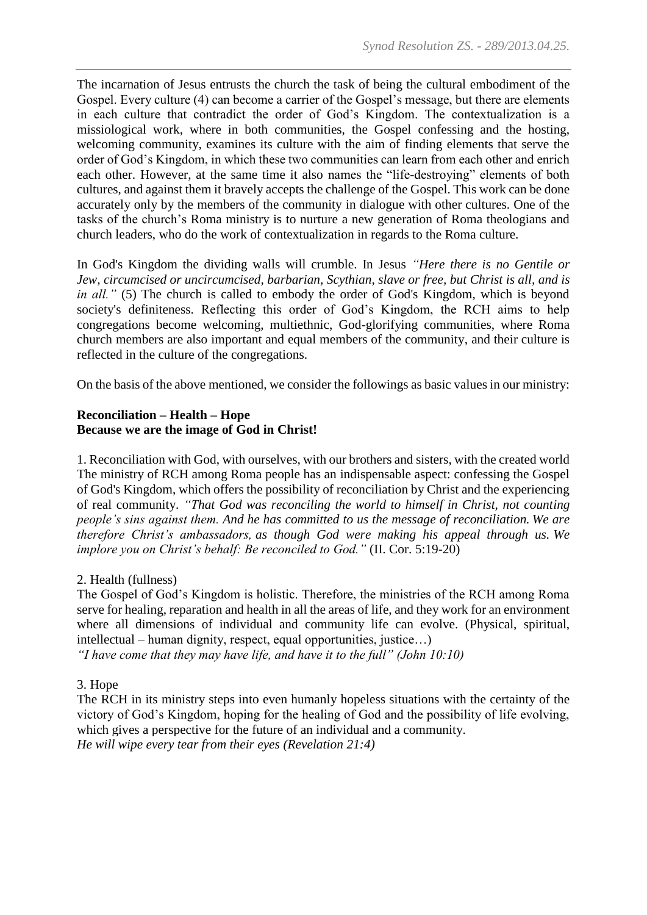The incarnation of Jesus entrusts the church the task of being the cultural embodiment of the Gospel. Every culture (4) can become a carrier of the Gospel's message, but there are elements in each culture that contradict the order of God's Kingdom. The contextualization is a missiological work, where in both communities, the Gospel confessing and the hosting, welcoming community, examines its culture with the aim of finding elements that serve the order of God's Kingdom, in which these two communities can learn from each other and enrich each other. However, at the same time it also names the "life-destroying" elements of both cultures, and against them it bravely accepts the challenge of the Gospel. This work can be done accurately only by the members of the community in dialogue with other cultures. One of the tasks of the church's Roma ministry is to nurture a new generation of Roma theologians and church leaders, who do the work of contextualization in regards to the Roma culture.

In God's Kingdom the dividing walls will crumble. In Jesus *"Here there is no Gentile or Jew, circumcised or uncircumcised, barbarian, Scythian, slave or free, but Christ is all, and is in all.*" (5) The church is called to embody the order of God's Kingdom, which is beyond society's definiteness. Reflecting this order of God's Kingdom, the RCH aims to help congregations become welcoming, multiethnic, God-glorifying communities, where Roma church members are also important and equal members of the community, and their culture is reflected in the culture of the congregations.

On the basis of the above mentioned, we consider the followings as basic values in our ministry:

### **Reconciliation – Health – Hope Because we are the image of God in Christ!**

1. Reconciliation with God, with ourselves, with our brothers and sisters, with the created world The ministry of RCH among Roma people has an indispensable aspect: confessing the Gospel of God's Kingdom, which offers the possibility of reconciliation by Christ and the experiencing of real community. *"That God was reconciling the world to himself in Christ, not counting people's sins against them. And he has committed to us the message of reconciliation. We are therefore Christ's ambassadors, as though God were making his appeal through us. We implore you on Christ's behalf: Be reconciled to God."* (II. Cor. 5:19-20)

## 2. Health (fullness)

The Gospel of God's Kingdom is holistic. Therefore, the ministries of the RCH among Roma serve for healing, reparation and health in all the areas of life, and they work for an environment where all dimensions of individual and community life can evolve. (Physical, spiritual, intellectual – human dignity, respect, equal opportunities, justice…)

*"I have come that they may have life, and have it to the full" (John 10:10)*

## 3. Hope

The RCH in its ministry steps into even humanly hopeless situations with the certainty of the victory of God's Kingdom, hoping for the healing of God and the possibility of life evolving, which gives a perspective for the future of an individual and a community. *He will wipe every tear from their eyes (Revelation 21:4)*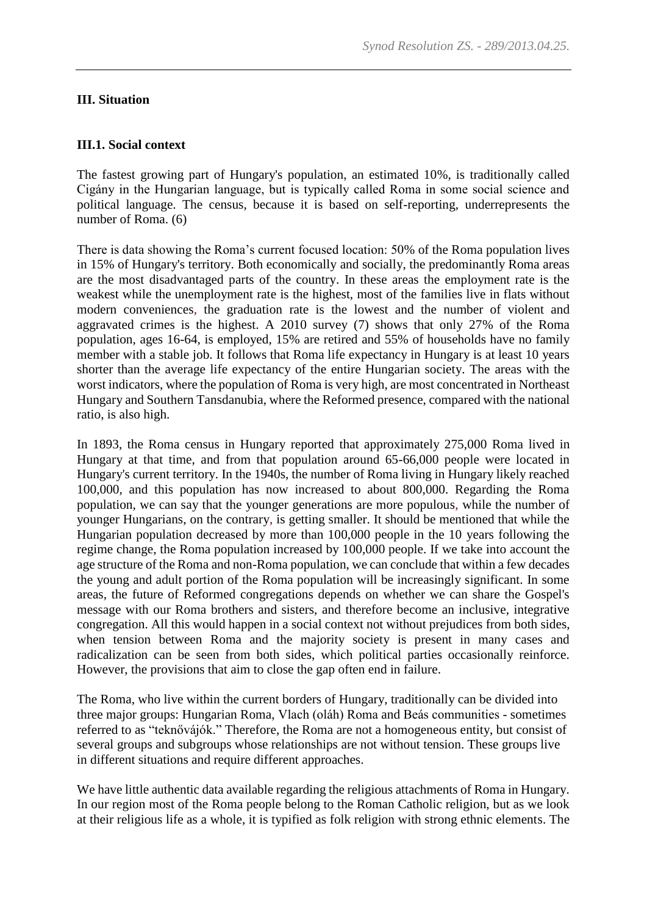### **III. Situation**

### **III.1. Social context**

The fastest growing part of Hungary's population, an estimated 10%, is traditionally called Cigány in the Hungarian language, but is typically called Roma in some social science and political language. The census, because it is based on self-reporting, underrepresents the number of Roma. (6)

There is data showing the Roma's current focused location: 50% of the Roma population lives in 15% of Hungary's territory. Both economically and socially, the predominantly Roma areas are the most disadvantaged parts of the country. In these areas the employment rate is the weakest while the unemployment rate is the highest, most of the families live in flats without modern conveniences, the graduation rate is the lowest and the number of violent and aggravated crimes is the highest. A 2010 survey (7) shows that only 27% of the Roma population, ages 16-64, is employed, 15% are retired and 55% of households have no family member with a stable job. It follows that Roma life expectancy in Hungary is at least 10 years shorter than the average life expectancy of the entire Hungarian society. The areas with the worst indicators, where the population of Roma is very high, are most concentrated in Northeast Hungary and Southern Tansdanubia, where the Reformed presence, compared with the national ratio, is also high.

In 1893, the Roma census in Hungary reported that approximately 275,000 Roma lived in Hungary at that time, and from that population around 65-66,000 people were located in Hungary's current territory. In the 1940s, the number of Roma living in Hungary likely reached 100,000, and this population has now increased to about 800,000. Regarding the Roma population, we can say that the younger generations are more populous, while the number of younger Hungarians, on the contrary, is getting smaller. It should be mentioned that while the Hungarian population decreased by more than 100,000 people in the 10 years following the regime change, the Roma population increased by 100,000 people. If we take into account the age structure of the Roma and non-Roma population, we can conclude that within a few decades the young and adult portion of the Roma population will be increasingly significant. In some areas, the future of Reformed congregations depends on whether we can share the Gospel's message with our Roma brothers and sisters, and therefore become an inclusive, integrative congregation. All this would happen in a social context not without prejudices from both sides, when tension between Roma and the majority society is present in many cases and radicalization can be seen from both sides, which political parties occasionally reinforce. However, the provisions that aim to close the gap often end in failure.

The Roma, who live within the current borders of Hungary, traditionally can be divided into three major groups: Hungarian Roma, Vlach (oláh) Roma and Beás communities - sometimes referred to as "teknővájók." Therefore, the Roma are not a homogeneous entity, but consist of several groups and subgroups whose relationships are not without tension. These groups live in different situations and require different approaches.

We have little authentic data available regarding the religious attachments of Roma in Hungary. In our region most of the Roma people belong to the Roman Catholic religion, but as we look at their religious life as a whole, it is typified as folk religion with strong ethnic elements. The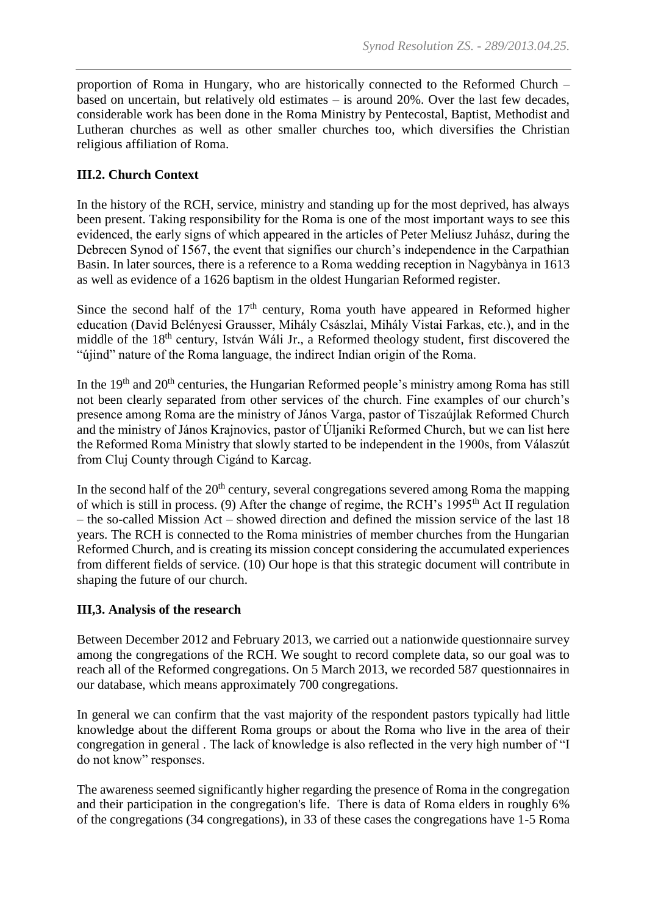proportion of Roma in Hungary, who are historically connected to the Reformed Church – based on uncertain, but relatively old estimates – is around 20%. Over the last few decades, considerable work has been done in the Roma Ministry by Pentecostal, Baptist, Methodist and Lutheran churches as well as other smaller churches too, which diversifies the Christian religious affiliation of Roma.

# **III.2. Church Context**

In the history of the RCH, service, ministry and standing up for the most deprived, has always been present. Taking responsibility for the Roma is one of the most important ways to see this evidenced, the early signs of which appeared in the articles of Peter Meliusz Juhász, during the Debrecen Synod of 1567, the event that signifies our church's independence in the Carpathian Basin. In later sources, there is a reference to a Roma wedding reception in Nagybànya in 1613 as well as evidence of a 1626 baptism in the oldest Hungarian Reformed register.

Since the second half of the  $17<sup>th</sup>$  century, Roma youth have appeared in Reformed higher education (David Belényesi Grausser, Mihály Császlai, Mihály Vistai Farkas, etc.), and in the middle of the 18<sup>th</sup> century, István Wáli Jr., a Reformed theology student, first discovered the "újind" nature of the Roma language, the indirect Indian origin of the Roma.

In the  $19<sup>th</sup>$  and  $20<sup>th</sup>$  centuries, the Hungarian Reformed people's ministry among Roma has still not been clearly separated from other services of the church. Fine examples of our church's presence among Roma are the ministry of János Varga, pastor of Tiszaújlak Reformed Church and the ministry of János Krajnovics, pastor of Úljaniki Reformed Church, but we can list here the Reformed Roma Ministry that slowly started to be independent in the 1900s, from Válaszút from Cluj County through Cigánd to Karcag.

In the second half of the  $20<sup>th</sup>$  century, several congregations severed among Roma the mapping of which is still in process. (9) After the change of regime, the RCH's 1995th Act II regulation – the so-called Mission Act – showed direction and defined the mission service of the last 18 years. The RCH is connected to the Roma ministries of member churches from the Hungarian Reformed Church, and is creating its mission concept considering the accumulated experiences from different fields of service. (10) Our hope is that this strategic document will contribute in shaping the future of our church.

## **III,3. Analysis of the research**

Between December 2012 and February 2013, we carried out a nationwide questionnaire survey among the congregations of the RCH. We sought to record complete data, so our goal was to reach all of the Reformed congregations. On 5 March 2013, we recorded 587 questionnaires in our database, which means approximately 700 congregations.

In general we can confirm that the vast majority of the respondent pastors typically had little knowledge about the different Roma groups or about the Roma who live in the area of their congregation in general . The lack of knowledge is also reflected in the very high number of "I do not know" responses.

The awareness seemed significantly higher regarding the presence of Roma in the congregation and their participation in the congregation's life. There is data of Roma elders in roughly 6% of the congregations (34 congregations), in 33 of these cases the congregations have 1-5 Roma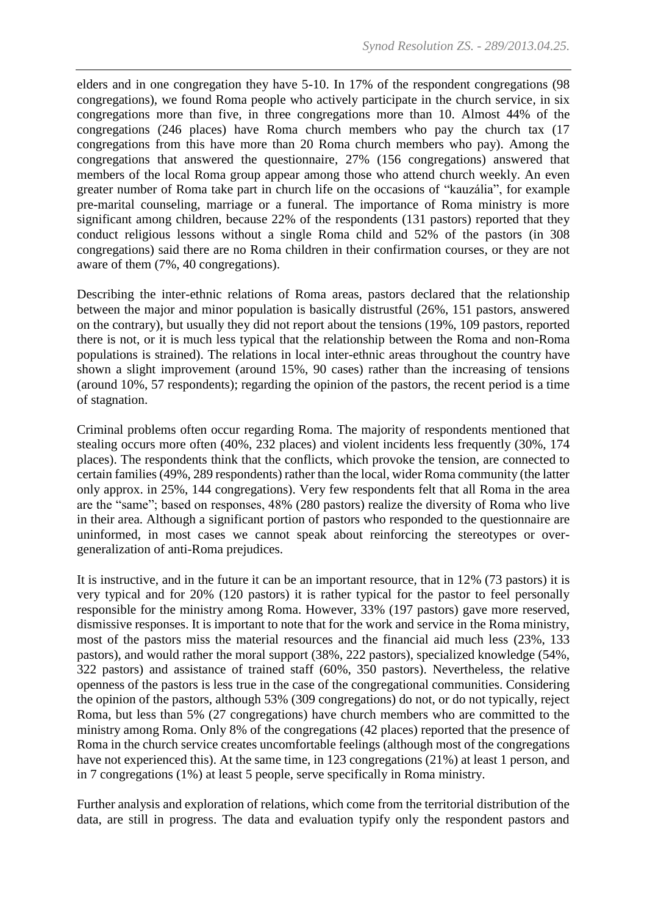elders and in one congregation they have 5-10. In 17% of the respondent congregations (98 congregations), we found Roma people who actively participate in the church service, in six congregations more than five, in three congregations more than 10. Almost 44% of the congregations (246 places) have Roma church members who pay the church tax (17 congregations from this have more than 20 Roma church members who pay). Among the congregations that answered the questionnaire, 27% (156 congregations) answered that members of the local Roma group appear among those who attend church weekly. An even greater number of Roma take part in church life on the occasions of "kauzália", for example pre-marital counseling, marriage or a funeral. The importance of Roma ministry is more significant among children, because 22% of the respondents (131 pastors) reported that they conduct religious lessons without a single Roma child and 52% of the pastors (in 308 congregations) said there are no Roma children in their confirmation courses, or they are not aware of them (7%, 40 congregations).

Describing the inter-ethnic relations of Roma areas, pastors declared that the relationship between the major and minor population is basically distrustful (26%, 151 pastors, answered on the contrary), but usually they did not report about the tensions (19%, 109 pastors, reported there is not, or it is much less typical that the relationship between the Roma and non-Roma populations is strained). The relations in local inter-ethnic areas throughout the country have shown a slight improvement (around 15%, 90 cases) rather than the increasing of tensions (around 10%, 57 respondents); regarding the opinion of the pastors, the recent period is a time of stagnation.

Criminal problems often occur regarding Roma. The majority of respondents mentioned that stealing occurs more often (40%, 232 places) and violent incidents less frequently (30%, 174 places). The respondents think that the conflicts, which provoke the tension, are connected to certain families (49%, 289 respondents) rather than the local, wider Roma community (the latter only approx. in 25%, 144 congregations). Very few respondents felt that all Roma in the area are the "same"; based on responses, 48% (280 pastors) realize the diversity of Roma who live in their area. Although a significant portion of pastors who responded to the questionnaire are uninformed, in most cases we cannot speak about reinforcing the stereotypes or overgeneralization of anti-Roma prejudices.

It is instructive, and in the future it can be an important resource, that in 12% (73 pastors) it is very typical and for 20% (120 pastors) it is rather typical for the pastor to feel personally responsible for the ministry among Roma. However, 33% (197 pastors) gave more reserved, dismissive responses. It is important to note that for the work and service in the Roma ministry, most of the pastors miss the material resources and the financial aid much less (23%, 133 pastors), and would rather the moral support (38%, 222 pastors), specialized knowledge (54%, 322 pastors) and assistance of trained staff (60%, 350 pastors). Nevertheless, the relative openness of the pastors is less true in the case of the congregational communities. Considering the opinion of the pastors, although 53% (309 congregations) do not, or do not typically, reject Roma, but less than 5% (27 congregations) have church members who are committed to the ministry among Roma. Only 8% of the congregations (42 places) reported that the presence of Roma in the church service creates uncomfortable feelings (although most of the congregations have not experienced this). At the same time, in 123 congregations (21%) at least 1 person, and in 7 congregations (1%) at least 5 people, serve specifically in Roma ministry.

Further analysis and exploration of relations, which come from the territorial distribution of the data, are still in progress. The data and evaluation typify only the respondent pastors and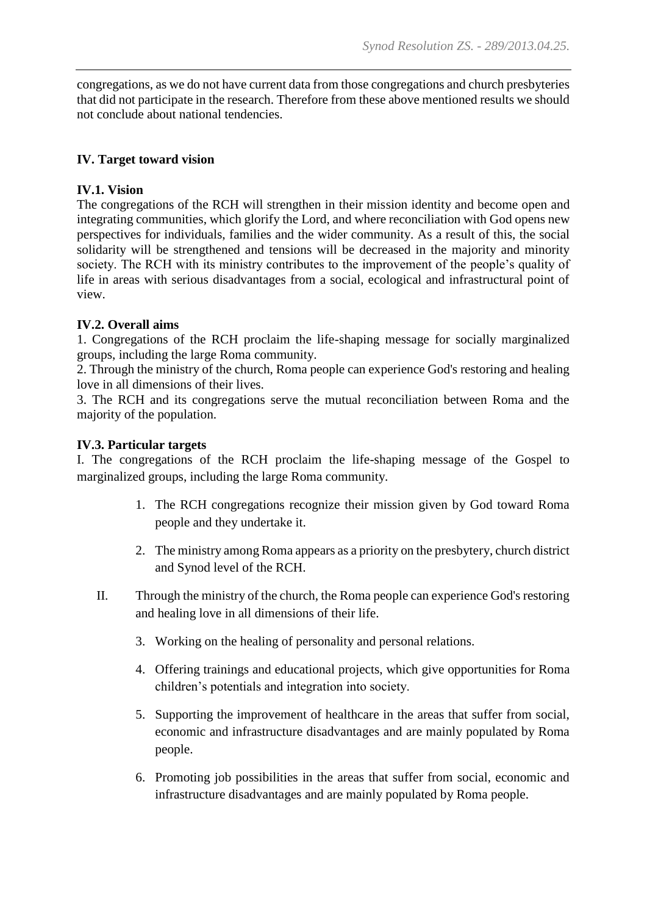congregations, as we do not have current data from those congregations and church presbyteries that did not participate in the research. Therefore from these above mentioned results we should not conclude about national tendencies.

# **IV. Target toward vision**

# **IV.1. Vision**

The congregations of the RCH will strengthen in their mission identity and become open and integrating communities, which glorify the Lord, and where reconciliation with God opens new perspectives for individuals, families and the wider community. As a result of this, the social solidarity will be strengthened and tensions will be decreased in the majority and minority society. The RCH with its ministry contributes to the improvement of the people's quality of life in areas with serious disadvantages from a social, ecological and infrastructural point of view.

## **IV.2. Overall aims**

1. Congregations of the RCH proclaim the life-shaping message for socially marginalized groups, including the large Roma community.

2. Through the ministry of the church, Roma people can experience God's restoring and healing love in all dimensions of their lives.

3. The RCH and its congregations serve the mutual reconciliation between Roma and the majority of the population.

### **IV.3. Particular targets**

I. The congregations of the RCH proclaim the life-shaping message of the Gospel to marginalized groups, including the large Roma community.

- 1. The RCH congregations recognize their mission given by God toward Roma people and they undertake it.
- 2. The ministry among Roma appears as a priority on the presbytery, church district and Synod level of the RCH.
- II. Through the ministry of the church, the Roma people can experience God's restoring and healing love in all dimensions of their life.
	- 3. Working on the healing of personality and personal relations.
	- 4. Offering trainings and educational projects, which give opportunities for Roma children's potentials and integration into society.
	- 5. Supporting the improvement of healthcare in the areas that suffer from social, economic and infrastructure disadvantages and are mainly populated by Roma people.
	- 6. Promoting job possibilities in the areas that suffer from social, economic and infrastructure disadvantages and are mainly populated by Roma people.